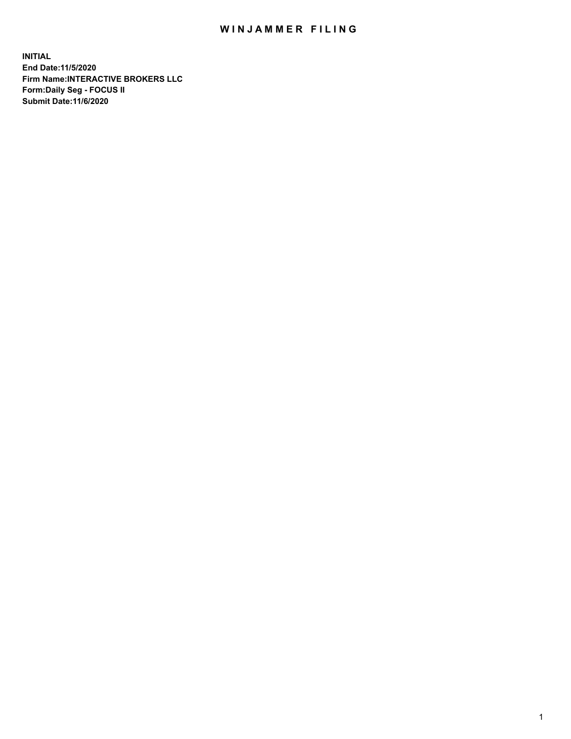## WIN JAMMER FILING

**INITIAL End Date:11/5/2020 Firm Name:INTERACTIVE BROKERS LLC Form:Daily Seg - FOCUS II Submit Date:11/6/2020**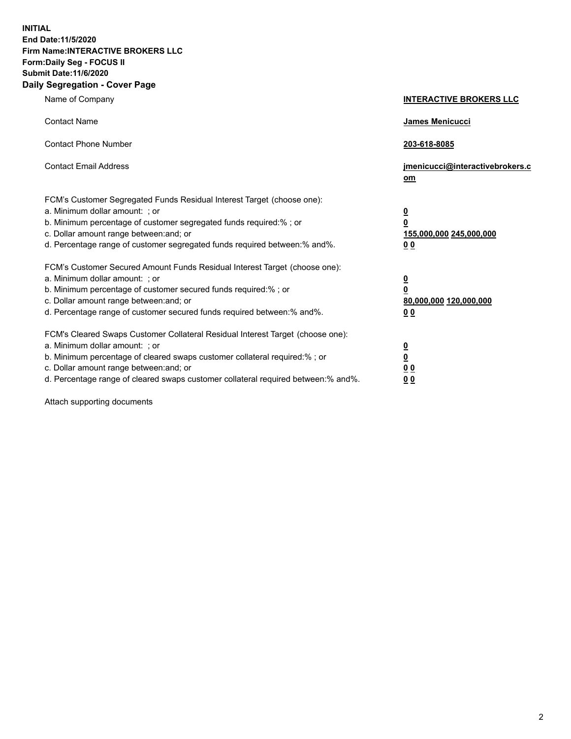**INITIAL End Date:11/5/2020 Firm Name:INTERACTIVE BROKERS LLC Form:Daily Seg - FOCUS II Submit Date:11/6/2020 Daily Segregation - Cover Page**

| Name of Company                                                                                                                                                                                                                                                                                                               | <b>INTERACTIVE BROKERS LLC</b>                                                   |
|-------------------------------------------------------------------------------------------------------------------------------------------------------------------------------------------------------------------------------------------------------------------------------------------------------------------------------|----------------------------------------------------------------------------------|
| <b>Contact Name</b>                                                                                                                                                                                                                                                                                                           | James Menicucci                                                                  |
| <b>Contact Phone Number</b>                                                                                                                                                                                                                                                                                                   | 203-618-8085                                                                     |
| <b>Contact Email Address</b>                                                                                                                                                                                                                                                                                                  | jmenicucci@interactivebrokers.c<br>om                                            |
| FCM's Customer Segregated Funds Residual Interest Target (choose one):<br>a. Minimum dollar amount: ; or<br>b. Minimum percentage of customer segregated funds required:% ; or<br>c. Dollar amount range between: and; or<br>d. Percentage range of customer segregated funds required between:% and%.                        | <u>0</u><br>$\overline{\mathbf{0}}$<br>155,000,000 245,000,000<br>0 <sub>0</sub> |
| FCM's Customer Secured Amount Funds Residual Interest Target (choose one):<br>a. Minimum dollar amount: ; or<br>b. Minimum percentage of customer secured funds required:%; or<br>c. Dollar amount range between: and; or<br>d. Percentage range of customer secured funds required between:% and%.                           | <u>0</u><br>$\overline{\mathbf{0}}$<br>80,000,000 120,000,000<br>0 <sub>0</sub>  |
| FCM's Cleared Swaps Customer Collateral Residual Interest Target (choose one):<br>a. Minimum dollar amount: ; or<br>b. Minimum percentage of cleared swaps customer collateral required:%; or<br>c. Dollar amount range between: and; or<br>d. Percentage range of cleared swaps customer collateral required between:% and%. | <u>0</u><br>$\underline{\mathbf{0}}$<br>0 <sub>0</sub><br>0 <sub>0</sub>         |

Attach supporting documents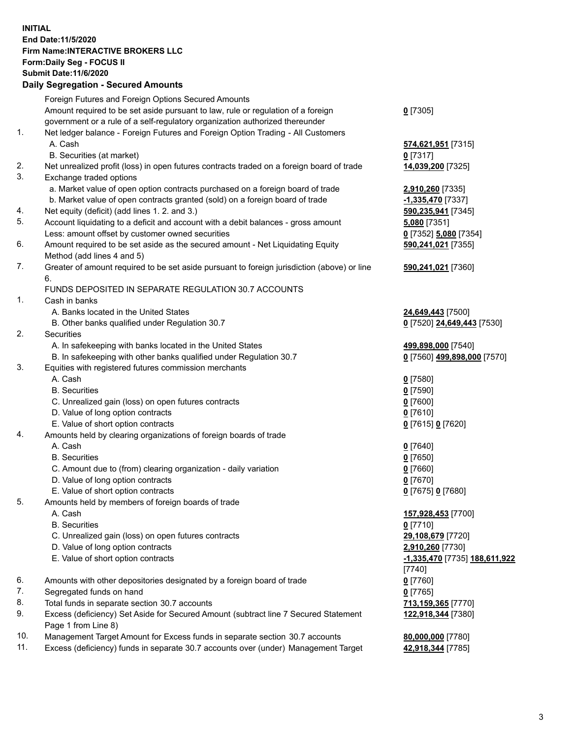**INITIAL End Date:11/5/2020 Firm Name:INTERACTIVE BROKERS LLC Form:Daily Seg - FOCUS II Submit Date:11/6/2020 Daily Segregation - Secured Amounts**

|     | Daily Segregation - Secured Amounts                                                         |                               |
|-----|---------------------------------------------------------------------------------------------|-------------------------------|
|     | Foreign Futures and Foreign Options Secured Amounts                                         |                               |
|     | Amount required to be set aside pursuant to law, rule or regulation of a foreign            | $0$ [7305]                    |
|     | government or a rule of a self-regulatory organization authorized thereunder                |                               |
| 1.  | Net ledger balance - Foreign Futures and Foreign Option Trading - All Customers             |                               |
|     | A. Cash                                                                                     | 574,621,951 [7315]            |
|     | B. Securities (at market)                                                                   | $0$ [7317]                    |
| 2.  | Net unrealized profit (loss) in open futures contracts traded on a foreign board of trade   | 14,039,200 [7325]             |
| 3.  | Exchange traded options                                                                     |                               |
|     | a. Market value of open option contracts purchased on a foreign board of trade              | 2,910,260 [7335]              |
|     | b. Market value of open contracts granted (sold) on a foreign board of trade                | -1,335,470 [7337]             |
| 4.  | Net equity (deficit) (add lines 1. 2. and 3.)                                               | 590,235,941 [7345]            |
| 5.  | Account liquidating to a deficit and account with a debit balances - gross amount           | 5,080 [7351]                  |
|     | Less: amount offset by customer owned securities                                            | 0 [7352] 5,080 [7354]         |
| 6.  | Amount required to be set aside as the secured amount - Net Liquidating Equity              | 590,241,021 [7355]            |
|     | Method (add lines 4 and 5)                                                                  |                               |
| 7.  | Greater of amount required to be set aside pursuant to foreign jurisdiction (above) or line | 590,241,021 [7360]            |
|     | 6.<br>FUNDS DEPOSITED IN SEPARATE REGULATION 30.7 ACCOUNTS                                  |                               |
| 1.  |                                                                                             |                               |
|     | Cash in banks<br>A. Banks located in the United States                                      |                               |
|     | B. Other banks qualified under Regulation 30.7                                              | 24,649,443 [7500]             |
| 2.  | <b>Securities</b>                                                                           | 0 [7520] 24,649,443 [7530]    |
|     | A. In safekeeping with banks located in the United States                                   | 499,898,000 [7540]            |
|     | B. In safekeeping with other banks qualified under Regulation 30.7                          | 0 [7560] 499,898,000 [7570]   |
| 3.  | Equities with registered futures commission merchants                                       |                               |
|     | A. Cash                                                                                     | $0$ [7580]                    |
|     | <b>B.</b> Securities                                                                        | $0$ [7590]                    |
|     | C. Unrealized gain (loss) on open futures contracts                                         | $0$ [7600]                    |
|     | D. Value of long option contracts                                                           | $0$ [7610]                    |
|     | E. Value of short option contracts                                                          | 0 [7615] 0 [7620]             |
| 4.  | Amounts held by clearing organizations of foreign boards of trade                           |                               |
|     | A. Cash                                                                                     | $0$ [7640]                    |
|     | <b>B.</b> Securities                                                                        | $0$ [7650]                    |
|     | C. Amount due to (from) clearing organization - daily variation                             | $0$ [7660]                    |
|     | D. Value of long option contracts                                                           | $0$ [7670]                    |
|     | E. Value of short option contracts                                                          | 0 [7675] 0 [7680]             |
| 5   | Amounts held by members of foreign boards of trade                                          |                               |
|     | A. Cash                                                                                     | 157,928,453 [7700]            |
|     | <b>B.</b> Securities                                                                        | $0$ [7710]                    |
|     | C. Unrealized gain (loss) on open futures contracts                                         | 29,108,679 [7720]             |
|     | D. Value of long option contracts                                                           | 2,910,260 [7730]              |
|     | E. Value of short option contracts                                                          | -1,335,470 [7735] 188,611,922 |
|     |                                                                                             | [7740]                        |
| 6.  | Amounts with other depositories designated by a foreign board of trade                      | $0$ [7760]                    |
| 7.  | Segregated funds on hand                                                                    | $0$ [7765]                    |
| 8.  | Total funds in separate section 30.7 accounts                                               | 713,159,365 [7770]            |
| 9.  | Excess (deficiency) Set Aside for Secured Amount (subtract line 7 Secured Statement         | 122,918,344 [7380]            |
|     | Page 1 from Line 8)                                                                         |                               |
| 10. | Management Target Amount for Excess funds in separate section 30.7 accounts                 | 80,000,000 [7780]             |
| 11. | Excess (deficiency) funds in separate 30.7 accounts over (under) Management Target          | 42,918,344 [7785]             |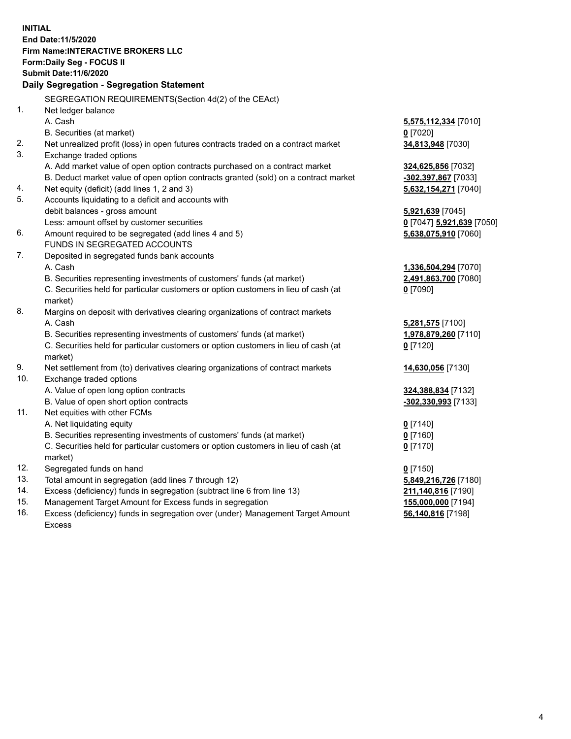**INITIAL End Date:11/5/2020 Firm Name:INTERACTIVE BROKERS LLC Form:Daily Seg - FOCUS II Submit Date:11/6/2020 Daily Segregation - Segregation Statement** SEGREGATION REQUIREMENTS(Section 4d(2) of the CEAct) 1. Net ledger balance A. Cash **5,575,112,334** [7010] B. Securities (at market) **0** [7020] 2. Net unrealized profit (loss) in open futures contracts traded on a contract market **34,813,948** [7030] 3. Exchange traded options A. Add market value of open option contracts purchased on a contract market **324,625,856** [7032] B. Deduct market value of open option contracts granted (sold) on a contract market **-302,397,867** [7033] 4. Net equity (deficit) (add lines 1, 2 and 3) **5,632,154,271** [7040] 5. Accounts liquidating to a deficit and accounts with debit balances - gross amount **5,921,639** [7045] Less: amount offset by customer securities **0** [7047] **5,921,639** [7050] 6. Amount required to be segregated (add lines 4 and 5) **5,638,075,910** [7060] FUNDS IN SEGREGATED ACCOUNTS 7. Deposited in segregated funds bank accounts A. Cash **1,336,504,294** [7070] B. Securities representing investments of customers' funds (at market) **2,491,863,700** [7080] C. Securities held for particular customers or option customers in lieu of cash (at market) **0** [7090] 8. Margins on deposit with derivatives clearing organizations of contract markets A. Cash **5,281,575** [7100] B. Securities representing investments of customers' funds (at market) **1,978,879,260** [7110] C. Securities held for particular customers or option customers in lieu of cash (at market) **0** [7120] 9. Net settlement from (to) derivatives clearing organizations of contract markets **14,630,056** [7130] 10. Exchange traded options A. Value of open long option contracts **324,388,834** [7132] B. Value of open short option contracts **-302,330,993** [7133] 11. Net equities with other FCMs A. Net liquidating equity **0** [7140] B. Securities representing investments of customers' funds (at market) **0** [7160] C. Securities held for particular customers or option customers in lieu of cash (at market) **0** [7170] 12. Segregated funds on hand **0** [7150] 13. Total amount in segregation (add lines 7 through 12) **5,849,216,726** [7180] 14. Excess (deficiency) funds in segregation (subtract line 6 from line 13) **211,140,816** [7190] 15. Management Target Amount for Excess funds in segregation **155,000,000** [7194]

16. Excess (deficiency) funds in segregation over (under) Management Target Amount Excess

**56,140,816** [7198]